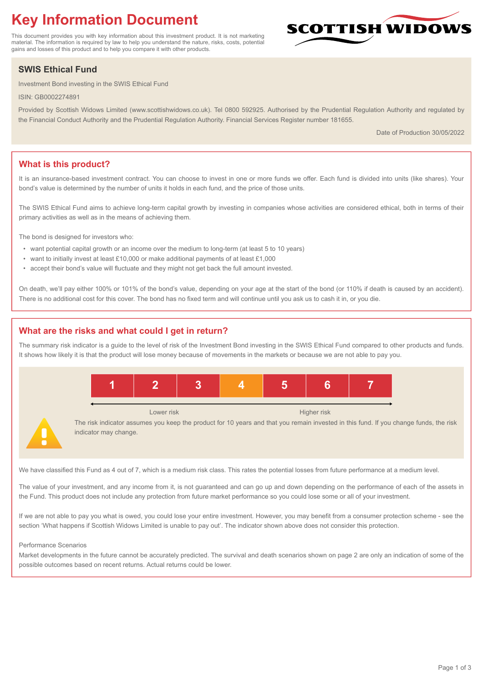# **Key Information Document**

This document provides you with key information about this investment product. It is not marketing material. The information is required by law to help you understand the nature, risks, costs, potential gains and losses of this product and to help you compare it with other products.

## **SWIS Ethical Fund**

Investment Bond investing in the SWIS Ethical Fund

ISIN: GB0002274891

Provided by Scottish Widows Limited (www.scottishwidows.co.uk). Tel 0800 592925. Authorised by the Prudential Regulation Authority and regulated by the Financial Conduct Authority and the Prudential Regulation Authority. Financial Services Register number 181655.

Date of Production 30/05/2022

**SCOTTISH WIDOW** 

## **What is this product?**

It is an insurance-based investment contract. You can choose to invest in one or more funds we offer. Each fund is divided into units (like shares). Your bond's value is determined by the number of units it holds in each fund, and the price of those units.

The SWIS Ethical Fund aims to achieve long-term capital growth by investing in companies whose activities are considered ethical, both in terms of their primary activities as well as in the means of achieving them.

The bond is designed for investors who:

- want potential capital growth or an income over the medium to long-term (at least 5 to 10 years)
- want to initially invest at least £10,000 or make additional payments of at least £1,000
- accept their bond's value will fluctuate and they might not get back the full amount invested.

On death, we'll pay either 100% or 101% of the bond's value, depending on your age at the start of the bond (or 110% if death is caused by an accident). There is no additional cost for this cover. The bond has no fixed term and will continue until you ask us to cash it in, or you die.

## **What are the risks and what could I get in return?**

indicator may change.

The summary risk indicator is a guide to the level of risk of the Investment Bond investing in the SWIS Ethical Fund compared to other products and funds. It shows how likely it is that the product will lose money because of movements in the markets or because we are not able to pay you.



We have classified this Fund as 4 out of 7, which is a medium risk class. This rates the potential losses from future performance at a medium level.

The value of your investment, and any income from it, is not guaranteed and can go up and down depending on the performance of each of the assets in the Fund. This product does not include any protection from future market performance so you could lose some or all of your investment.

If we are not able to pay you what is owed, you could lose your entire investment. However, you may benefit from a consumer protection scheme - see the section 'What happens if Scottish Widows Limited is unable to pay out'. The indicator shown above does not consider this protection.

#### Performance Scenarios

Market developments in the future cannot be accurately predicted. The survival and death scenarios shown on page 2 are only an indication of some of the possible outcomes based on recent returns. Actual returns could be lower.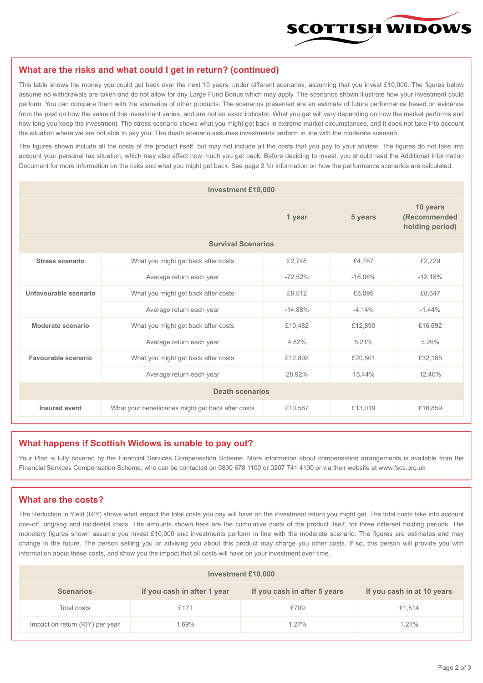

#### **What are the risks and what could I get in return? (continued)**

This table shows the money you could get back over the next 10 years, under different scenarios, assuming that you invest £10,000. The figures below assume no withdrawals are taken and do not allow for any Large Fund Bonus which may apply. The scenarios shown illustrate how your investment could perform. You can compare them with the scenarios of other products. The scenarios presented are an estimate of future performance based on evidence from the past on how the value of this investment varies, and are not an exact indicator. What you get will vary depending on how the market performs and how long you keep the investment. The stress scenario shows what you might get back in extreme market circumstances, and it does not take into account the situation where we are not able to pay you. The death scenario assumes investments perform in line with the moderate scenario.

The figures shown include all the costs of the product itself, but may not include all the costs that you pay to your adviser. The figures do not take into account your personal tax situation, which may also affect how much you get back. Before deciding to invest, you should read the Additional Information Document for more information on the risks and what you might get back. See page 2 for information on how the performance scenarios are calculated.

| <b>Investment £10,000</b> |                                                    |           |                                             |           |  |  |
|---------------------------|----------------------------------------------------|-----------|---------------------------------------------|-----------|--|--|
|                           |                                                    | 5 years   | 10 years<br>(Recommended<br>holding period) |           |  |  |
| <b>Survival Scenarios</b> |                                                    |           |                                             |           |  |  |
| <b>Stress scenario</b>    | £2,748<br>What you might get back after costs      |           | £4,167                                      | £2,729    |  |  |
|                           | $-72.52%$<br>Average return each year              |           | $-16.06%$                                   | $-12.18%$ |  |  |
| Unfavourable scenario     | What you might get back after costs<br>£8,512      |           | £8,095                                      | £8,647    |  |  |
|                           | Average return each year                           | $-14.88%$ | $-4.14%$                                    | $-1.44%$  |  |  |
| Moderate scenario         | What you might get back after costs                | £10,482   | £12,890                                     | £16,692   |  |  |
|                           | Average return each year                           | 4.82%     | 5.21%                                       | 5.26%     |  |  |
| Favourable scenario       | What you might get back after costs                | £12,892   | £20,501                                     | £32,185   |  |  |
|                           | Average return each year                           |           | 15.44%                                      | 12.40%    |  |  |
| <b>Death scenarios</b>    |                                                    |           |                                             |           |  |  |
| Insured event             | What your beneficiaries might get back after costs | £10,587   | £13,019                                     | £16,859   |  |  |

#### **What happens if Scottish Widows is unable to pay out?**

Your Plan is fully covered by the Financial Services Compensation Scheme. More information about compensation arrangements is available from the Financial Services Compensation Scheme, who can be contacted on 0800 678 1100 or 0207 741 4100 or via their website at www.fscs.org.uk

### **What are the costs?**

The Reduction in Yield (RIY) shows what impact the total costs you pay will have on the investment return you might get. The total costs take into account one-off, ongoing and incidental costs. The amounts shown here are the cumulative costs of the product itself, for three different holding periods. The monetary figures shown assume you invest £10,000 and investments perform in line with the moderate scenario. The figures are estimates and may change in the future. The person selling you or advising you about this product may charge you other costs. If so, this person will provide you with information about these costs, and show you the impact that all costs will have on your investment over time.

| <b>Investment £10,000</b>       |                             |                              |                            |  |  |  |
|---------------------------------|-----------------------------|------------------------------|----------------------------|--|--|--|
| <b>Scenarios</b>                | If you cash in after 1 year | If you cash in after 5 years | If you cash in at 10 years |  |  |  |
| Total costs                     | £171                        | £709                         | £1,514                     |  |  |  |
| Impact on return (RIY) per year | l.69%                       | $1.27\%$                     | 1.21%                      |  |  |  |